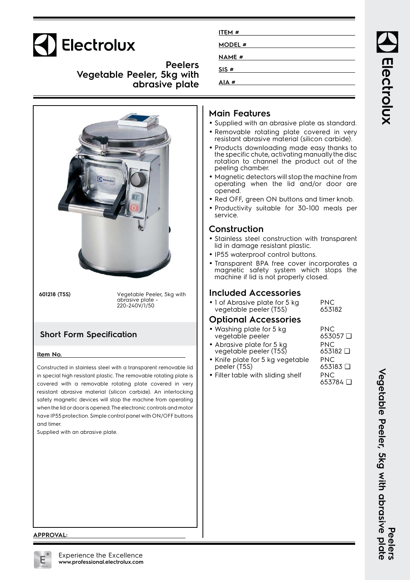

**Peelers Vegetable Peeler, 5kg with abrasive plate**



**601218 (T5S)** Vegetable Peeler, 5kg with abrasive plate - 220-240V/1/50

# **Short Form Specification**

#### **Item No.**

Constructed in stainless steel with a transparent removable lid in special high resistant plastic. The removable rotating plate is covered with a removable rotating plate covered in very resistant abrasive material (silicon carbide). An interlocking safety magnetic devices will stop the machine from operating when the lid or door is opened. The electronic controls and motor have IP55 protection. Simple control panel with ON/OFF buttons and timer.

Supplied with an abrasive plate.

| <b>MODEL#</b> |
|---------------|
|               |
| <b>NAME #</b> |
| SIS#          |
| AIA#          |

# **Main Features**

- Supplied with an abrasive plate as standard.
- Removable rotating plate covered in very resistant abrasive material (silicon carbide).
- Products downloading made easy thanks to the specific chute, activating manually the disc rotation to channel the product out of the peeling chamber.
- Magnetic detectors will stop the machine from operating when the lid and/or door are opened.
- Red OFF, green ON buttons and timer knob.
- Productivity suitable for 30-100 meals per service.

### **Construction**

- Stainless steel construction with transparent lid in damage resistant plastic.
- IP55 waterproof control buttons.
- Transparent BPA free cover incorporates a magnetic safety system which stops the machine if lid is not properly closed.

# **Included Accessories**

• 1 of Abrasive plate for 5 kg vegetable peeler (T5S) PNC 653182

# **Optional Accessories**

| • Washing plate for 5 kg                            | PNC.            |
|-----------------------------------------------------|-----------------|
| vegetable peeler                                    | $653057 \Box$   |
| • Abrasive plate for 5 kg<br>vegetable peeler (T5S) | PNC.            |
|                                                     | $653182$ $\Box$ |
| $\bullet$ Knife plate for 5 ka vegetable.           | PNC.            |

- Knife plate for 5 kg vegetable peeler (T5S)
- Filter table with sliding shelf PNC

653784 ❑

653183 ❑